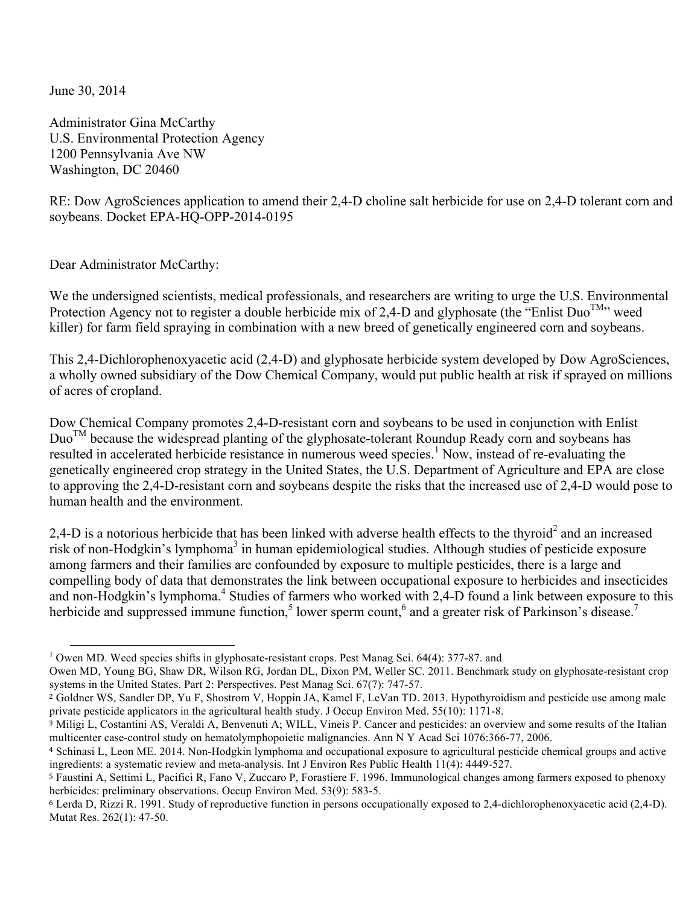June 30, 2014

Administrator Gina McCarthy U.S. Environmental Protection Agency 1200 Pennsylvania Ave NW Washington, DC 20460

RE: Dow AgroSciences application to amend their 2,4-D choline salt herbicide for use on 2,4-D tolerant corn and soybeans. Docket EPA-HQ-OPP-2014-0195

Dear Administrator McCarthy:

We the undersigned scientists, medical professionals, and researchers are writing to urge the U.S. Environmental Protection Agency not to register a double herbicide mix of 2,4-D and glyphosate (the "Enlist Duo<sup>TM</sup>" weed killer) for farm field spraying in combination with a new breed of genetically engineered corn and soybeans.

This 2,4-Dichlorophenoxyacetic acid (2,4-D) and glyphosate herbicide system developed by Dow AgroSciences, a wholly owned subsidiary of the Dow Chemical Company, would put public health at risk if sprayed on millions of acres of cropland.

Dow Chemical Company promotes 2,4-D-resistant corn and soybeans to be used in conjunction with Enlist  $Du<sup>TM</sup>$  because the widespread planting of the glyphosate-tolerant Roundup Ready corn and soybeans has resulted in accelerated herbicide resistance in numerous weed species.<sup>1</sup> Now, instead of re-evaluating the genetically engineered crop strategy in the United States, the U.S. Department of Agriculture and EPA are close to approving the 2,4-D-resistant corn and soybeans despite the risks that the increased use of 2,4-D would pose to human health and the environment.

2,4-D is a notorious herbicide that has been linked with adverse health effects to the thyroid<sup>2</sup> and an increased risk of non-Hodgkin's lymphoma<sup>3</sup> in human epidemiological studies. Although studies of pesticide exposure among farmers and their families are confounded by exposure to multiple pesticides, there is a large and compelling body of data that demonstrates the link between occupational exposure to herbicides and insecticides and non-Hodgkin's lymphoma. <sup>4</sup> Studies of farmers who worked with 2,4-D found a link between exposure to this herbicide and suppressed immune function,<sup>5</sup> lower sperm count,<sup>6</sup> and a greater risk of Parkinson's disease.<sup>7</sup>

<sup>&</sup>lt;sup>1</sup> Owen MD. Weed species shifts in glyphosate-resistant crops. Pest Manag Sci. 64(4): 377-87. and

Owen MD, Young BG, Shaw DR, Wilson RG, Jordan DL, Dixon PM, Weller SC. 2011. Benchmark study on glyphosate-resistant crop systems in the United States. Part 2: Perspectives. Pest Manag Sci. 67(7): 747-57.

<sup>2</sup> Goldner WS, Sandler DP, Yu F, Shostrom V, Hoppin JA, Kamel F, LeVan TD. 2013. Hypothyroidism and pesticide use among male private pesticide applicators in the agricultural health study. J Occup Environ Med. 55(10): 1171-8.

<sup>&</sup>lt;sup>3</sup> Miligi L, Costantini AS, Veraldi A, Benvenuti A; WILL, Vineis P. Cancer and pesticides: an overview and some results of the Italian multicenter case-control study on hematolymphopoietic malignancies. Ann N Y Acad Sci 1076:366-77, 2006.

<sup>4</sup> Schinasi L, Leon ME. 2014. Non-Hodgkin lymphoma and occupational exposure to agricultural pesticide chemical groups and active ingredients: a systematic review and meta-analysis. Int J Environ Res Public Health 11(4): 4449-527.

<sup>5</sup> Faustini A, Settimi L, Pacifici R, Fano V, Zuccaro P, Forastiere F. 1996. Immunological changes among farmers exposed to phenoxy herbicides: preliminary observations. Occup Environ Med. 53(9): 583-5.

<sup>6</sup> Lerda D, Rizzi R. 1991. Study of reproductive function in persons occupationally exposed to 2,4-dichlorophenoxyacetic acid (2,4-D). Mutat Res. 262(1): 47-50.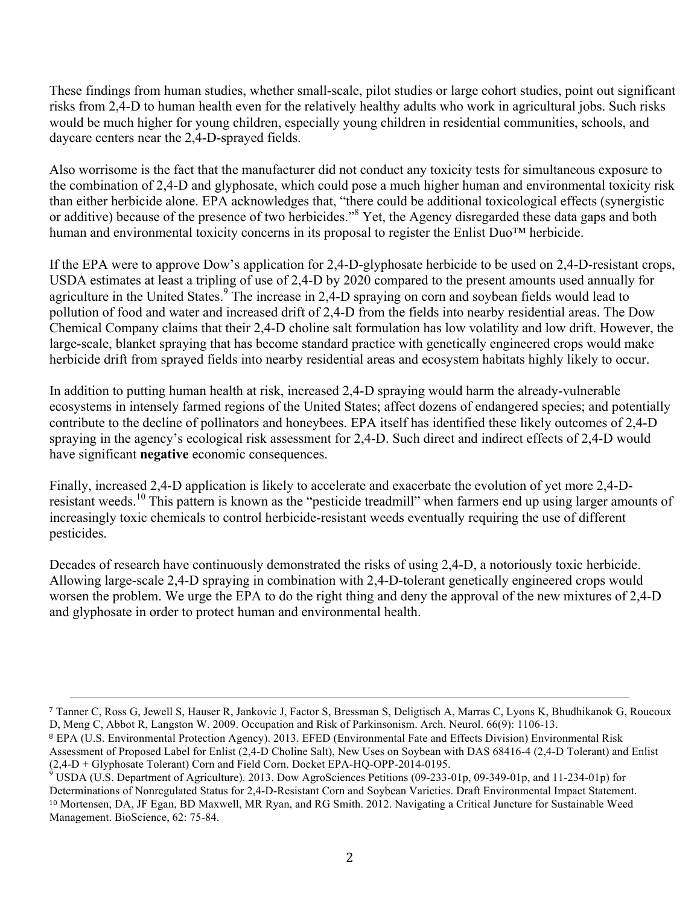These findings from human studies, whether small-scale, pilot studies or large cohort studies, point out significant risks from 2,4-D to human health even for the relatively healthy adults who work in agricultural jobs. Such risks would be much higher for young children, especially young children in residential communities, schools, and daycare centers near the 2,4-D-sprayed fields.

Also worrisome is the fact that the manufacturer did not conduct any toxicity tests for simultaneous exposure to the combination of 2,4-D and glyphosate, which could pose a much higher human and environmental toxicity risk than either herbicide alone. EPA acknowledges that, "there could be additional toxicological effects (synergistic or additive) because of the presence of two herbicides."8 Yet, the Agency disregarded these data gaps and both human and environmental toxicity concerns in its proposal to register the Enlist Duo™ herbicide.

If the EPA were to approve Dow's application for 2,4-D-glyphosate herbicide to be used on 2,4-D-resistant crops, USDA estimates at least a tripling of use of 2,4-D by 2020 compared to the present amounts used annually for agriculture in the United States.<sup>9</sup> The increase in 2,4-D spraying on corn and soybean fields would lead to pollution of food and water and increased drift of 2,4-D from the fields into nearby residential areas. The Dow Chemical Company claims that their 2,4-D choline salt formulation has low volatility and low drift. However, the large-scale, blanket spraying that has become standard practice with genetically engineered crops would make herbicide drift from sprayed fields into nearby residential areas and ecosystem habitats highly likely to occur.

In addition to putting human health at risk, increased 2,4-D spraying would harm the already-vulnerable ecosystems in intensely farmed regions of the United States; affect dozens of endangered species; and potentially contribute to the decline of pollinators and honeybees. EPA itself has identified these likely outcomes of 2,4-D spraying in the agency's ecological risk assessment for 2,4-D. Such direct and indirect effects of 2,4-D would have significant **negative** economic consequences.

Finally, increased 2,4-D application is likely to accelerate and exacerbate the evolution of yet more 2,4-Dresistant weeds.<sup>10</sup> This pattern is known as the "pesticide treadmill" when farmers end up using larger amounts of increasingly toxic chemicals to control herbicide-resistant weeds eventually requiring the use of different pesticides.

Decades of research have continuously demonstrated the risks of using 2,4-D, a notoriously toxic herbicide. Allowing large-scale 2,4-D spraying in combination with 2,4-D-tolerant genetically engineered crops would worsen the problem. We urge the EPA to do the right thing and deny the approval of the new mixtures of 2,4-D and glyphosate in order to protect human and environmental health.

<u> 1989 - Andrea Santa Andrea Andrea Andrea Andrea Andrea Andrea Andrea Andrea Andrea Andrea Andrea Andrea Andr</u>

<sup>7</sup> Tanner C, Ross G, Jewell S, Hauser R, Jankovic J, Factor S, Bressman S, Deligtisch A, Marras C, Lyons K, Bhudhikanok G, Roucoux D, Meng C, Abbot R, Langston W. 2009. Occupation and Risk of Parkinsonism. Arch. Neurol. 66(9): 1106-13.

<sup>8</sup> EPA (U.S. Environmental Protection Agency). 2013. EFED (Environmental Fate and Effects Division) Environmental Risk Assessment of Proposed Label for Enlist (2,4-D Choline Salt), New Uses on Soybean with DAS 68416-4 (2,4-D Tolerant) and Enlist (2,4-D + Glyphosate Tolerant) Corn and Field Corn. Docket EPA-HO-OPP-2014-0195.

<sup>&</sup>lt;sup>9</sup> USDA (U.S. Department of Agriculture). 2013. Dow AgroSciences Petitions (09-233-01p, 09-349-01p, and 11-234-01p) for Determinations of Nonregulated Status for 2,4-D-Resistant Corn and Soybean Varieties. Draft Environmental Impact Statement. <sup>10</sup> Mortensen, DA, JF Egan, BD Maxwell, MR Ryan, and RG Smith. 2012. Navigating a Critical Juncture for Sustainable Weed Management. BioScience, 62: 75-84.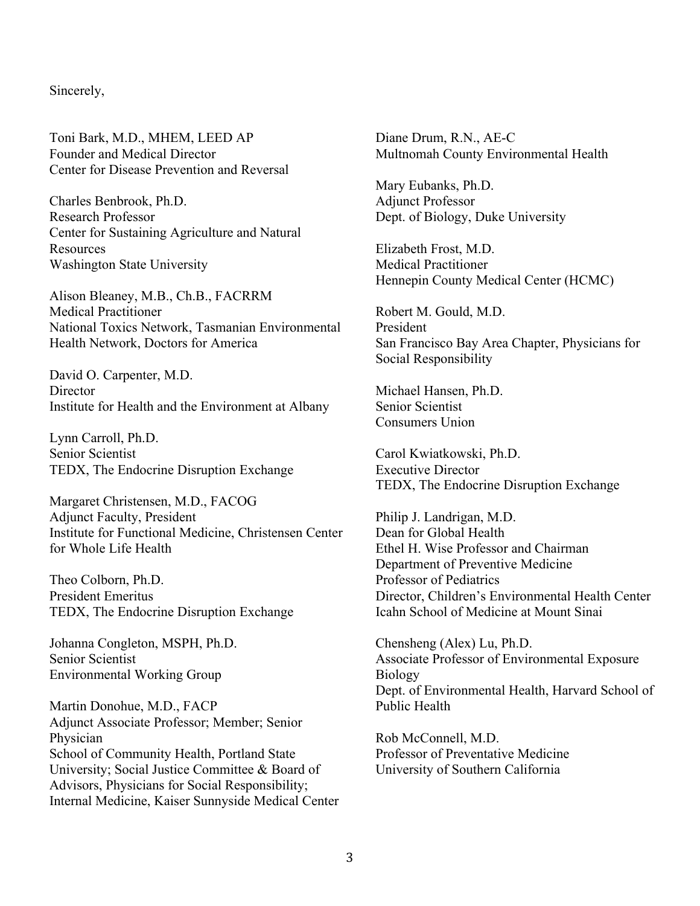## Sincerely,

Toni Bark, M.D., MHEM, LEED AP Founder and Medical Director Center for Disease Prevention and Reversal

Charles Benbrook, Ph.D. Research Professor Center for Sustaining Agriculture and Natural Resources Washington State University

Alison Bleaney, M.B., Ch.B., FACRRM Medical Practitioner National Toxics Network, Tasmanian Environmental Health Network, Doctors for America

David O. Carpenter, M.D. **Director** Institute for Health and the Environment at Albany

Lynn Carroll, Ph.D. Senior Scientist TEDX, The Endocrine Disruption Exchange

Margaret Christensen, M.D., FACOG Adjunct Faculty, President Institute for Functional Medicine, Christensen Center for Whole Life Health

Theo Colborn, Ph.D. President Emeritus TEDX, The Endocrine Disruption Exchange

Johanna Congleton, MSPH, Ph.D. Senior Scientist Environmental Working Group

Martin Donohue, M.D., FACP Adjunct Associate Professor; Member; Senior Physician School of Community Health, Portland State University; Social Justice Committee & Board of Advisors, Physicians for Social Responsibility; Internal Medicine, Kaiser Sunnyside Medical Center Diane Drum, R.N., AE-C Multnomah County Environmental Health

Mary Eubanks, Ph.D. Adjunct Professor Dept. of Biology, Duke University

Elizabeth Frost, M.D. Medical Practitioner Hennepin County Medical Center (HCMC)

Robert M. Gould, M.D. President San Francisco Bay Area Chapter, Physicians for Social Responsibility

Michael Hansen, Ph.D. Senior Scientist Consumers Union

Carol Kwiatkowski, Ph.D. Executive Director TEDX, The Endocrine Disruption Exchange

Philip J. Landrigan, M.D. Dean for Global Health Ethel H. Wise Professor and Chairman Department of Preventive Medicine Professor of Pediatrics Director, Children's Environmental Health Center Icahn School of Medicine at Mount Sinai

Chensheng (Alex) Lu, Ph.D. Associate Professor of Environmental Exposure Biology Dept. of Environmental Health, Harvard School of Public Health

Rob McConnell, M.D. Professor of Preventative Medicine University of Southern California